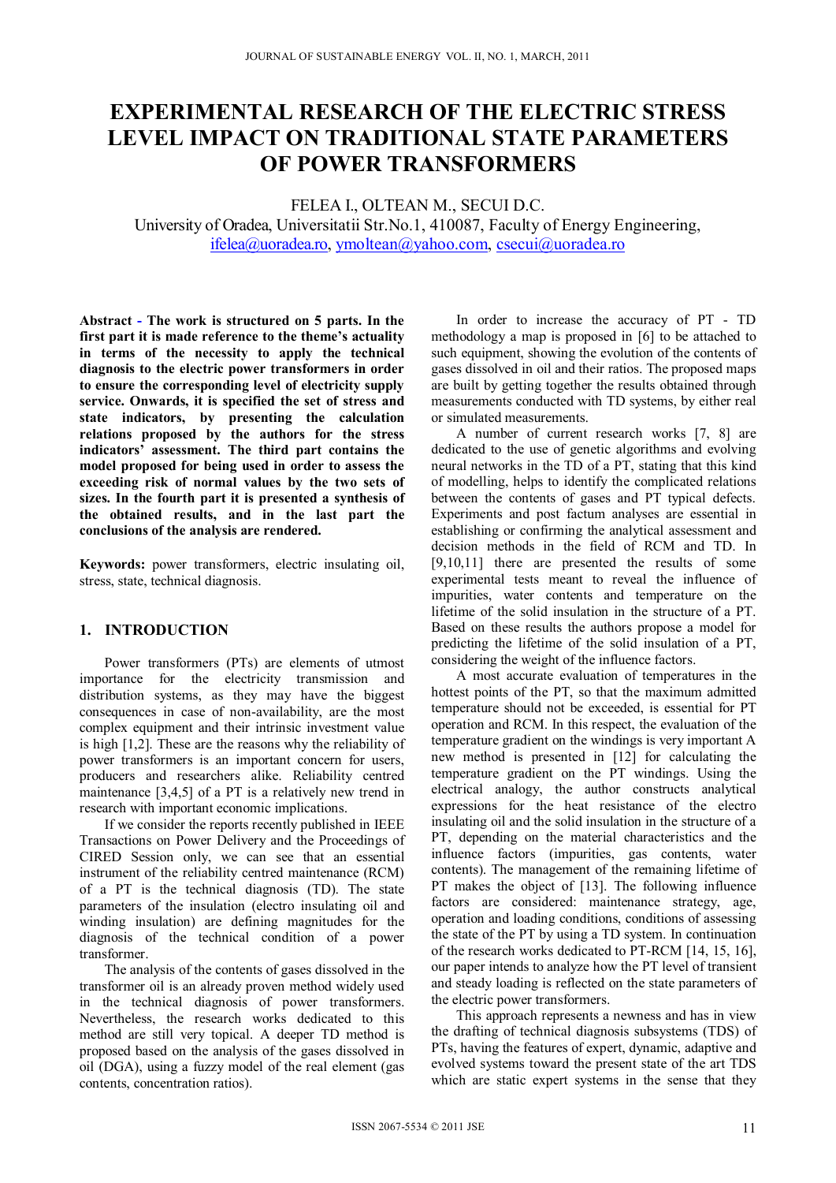# **EXPERIMENTAL RESEARCH OF THE ELECTRIC STRESS LEVEL IMPACT ON TRADITIONAL STATE PARAMETERS OF POWER TRANSFORMERS**

FELEA I., OLTEAN M., SECUI D.C. University of Oradea, Universitatii Str.No.1, 410087, Faculty of Energy Engineering, ifelea@uoradea.ro, ymoltean@yahoo.com, csecui@uoradea.ro

**Abstract - The work is structured on 5 parts. In the first part it is made reference to the theme's actuality in terms of the necessity to apply the technical diagnosis to the electric power transformers in order to ensure the corresponding level of electricity supply service. Onwards, it is specified the set of stress and state indicators, by presenting the calculation relations proposed by the authors for the stress indicators' assessment. The third part contains the model proposed for being used in order to assess the exceeding risk of normal values by the two sets of sizes. In the fourth part it is presented a synthesis of the obtained results, and in the last part the conclusions of the analysis are rendered.** 

**Keywords:** power transformers, electric insulating oil, stress, state, technical diagnosis.

## **1. INTRODUCTION**

Power transformers (PTs) are elements of utmost importance for the electricity transmission and distribution systems, as they may have the biggest consequences in case of non-availability, are the most complex equipment and their intrinsic investment value is high [1,2]. These are the reasons why the reliability of power transformers is an important concern for users, producers and researchers alike. Reliability centred maintenance [3,4,5] of a PT is a relatively new trend in research with important economic implications.

If we consider the reports recently published in IEEE Transactions on Power Delivery and the Proceedings of CIRED Session only, we can see that an essential instrument of the reliability centred maintenance (RCM) of a PT is the technical diagnosis (TD). The state parameters of the insulation (electro insulating oil and winding insulation) are defining magnitudes for the diagnosis of the technical condition of a power transformer.

The analysis of the contents of gases dissolved in the transformer oil is an already proven method widely used in the technical diagnosis of power transformers. Nevertheless, the research works dedicated to this method are still very topical. A deeper TD method is proposed based on the analysis of the gases dissolved in oil (DGA), using a fuzzy model of the real element (gas contents, concentration ratios).

In order to increase the accuracy of PT - TD methodology a map is proposed in [6] to be attached to such equipment, showing the evolution of the contents of gases dissolved in oil and their ratios. The proposed maps are built by getting together the results obtained through measurements conducted with TD systems, by either real or simulated measurements.

A number of current research works [7, 8] are dedicated to the use of genetic algorithms and evolving neural networks in the TD of a PT, stating that this kind of modelling, helps to identify the complicated relations between the contents of gases and PT typical defects. Experiments and post factum analyses are essential in establishing or confirming the analytical assessment and decision methods in the field of RCM and TD. In [9,10,11] there are presented the results of some experimental tests meant to reveal the influence of impurities, water contents and temperature on the lifetime of the solid insulation in the structure of a PT. Based on these results the authors propose a model for predicting the lifetime of the solid insulation of a PT, considering the weight of the influence factors.

A most accurate evaluation of temperatures in the hottest points of the PT, so that the maximum admitted temperature should not be exceeded, is essential for PT operation and RCM. In this respect, the evaluation of the temperature gradient on the windings is very important A new method is presented in [12] for calculating the temperature gradient on the PT windings. Using the electrical analogy, the author constructs analytical expressions for the heat resistance of the electro insulating oil and the solid insulation in the structure of a PT, depending on the material characteristics and the influence factors (impurities, gas contents, water contents). The management of the remaining lifetime of PT makes the object of [13]. The following influence factors are considered: maintenance strategy, age, operation and loading conditions, conditions of assessing the state of the PT by using a TD system. In continuation of the research works dedicated to PT-RCM [14, 15, 16], our paper intends to analyze how the PT level of transient and steady loading is reflected on the state parameters of the electric power transformers.

This approach represents a newness and has in view the drafting of technical diagnosis subsystems (TDS) of PTs, having the features of expert, dynamic, adaptive and evolved systems toward the present state of the art TDS which are static expert systems in the sense that they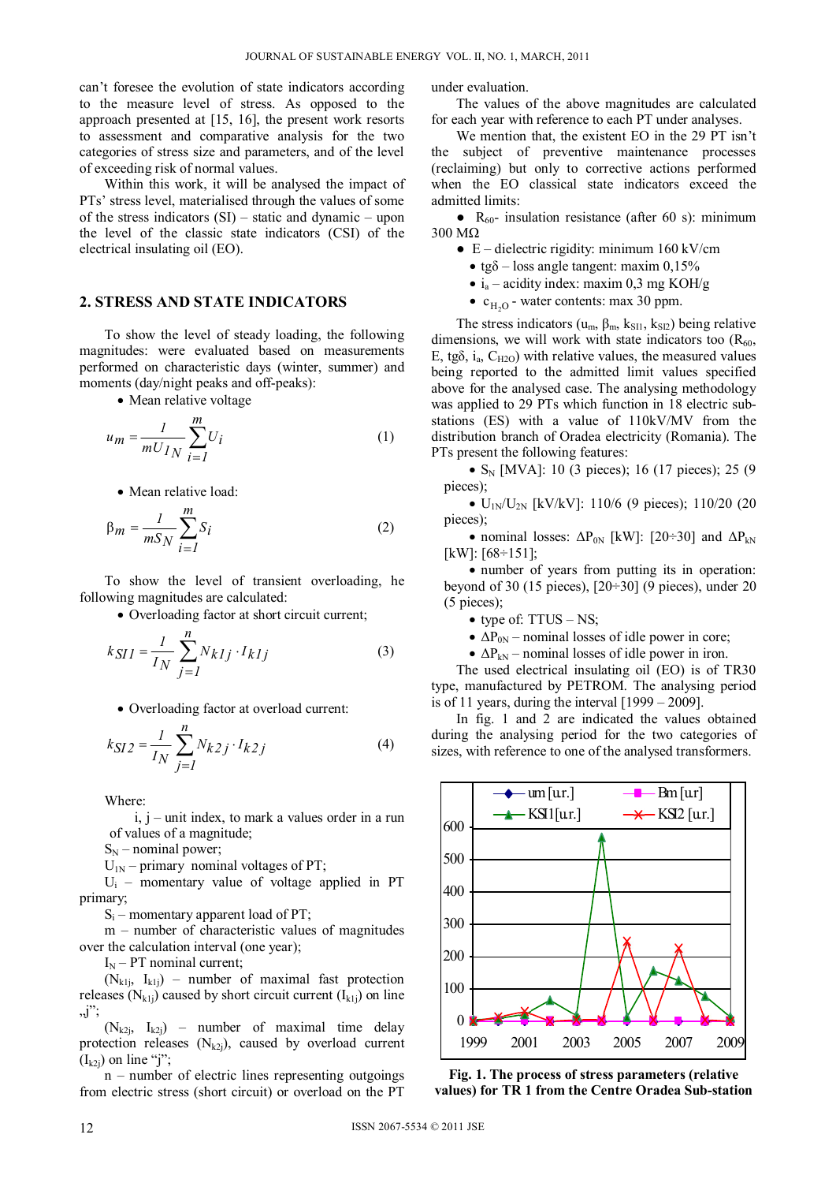can't foresee the evolution of state indicators according to the measure level of stress. As opposed to the approach presented at [15, 16], the present work resorts to assessment and comparative analysis for the two categories of stress size and parameters, and of the level of exceeding risk of normal values.

Within this work, it will be analysed the impact of PTs' stress level, materialised through the values of some of the stress indicators (SI) – static and dynamic – upon the level of the classic state indicators (CSI) of the electrical insulating oil (EO).

#### **2. STRESS AND STATE INDICATORS**

To show the level of steady loading, the following magnitudes: were evaluated based on measurements performed on characteristic days (winter, summer) and moments (day/night peaks and off-peaks):

• Mean relative voltage

$$
u_m = \frac{1}{mU_{IN}} \sum_{i=1}^{m} U_i
$$
 (1)

• Mean relative load:

$$
\beta_m = \frac{1}{mS_N} \sum_{i=1}^{m} S_i
$$
 (2)

To show the level of transient overloading, he following magnitudes are calculated:

Overloading factor at short circuit current;

$$
k_{SII} = \frac{I}{I_N} \sum_{j=I}^{n} N_{klj} \cdot I_{klj}
$$
 (3)

Overloading factor at overload current:

$$
k_{SI2} = \frac{1}{I_N} \sum_{j=1}^{n} N_{k2j} \cdot I_{k2j}
$$
 (4)

Where:

 $i, j -$  unit index, to mark a values order in a run of values of a magnitude;

 $S_N$  – nominal power;

 $U_{1N}$  – primary nominal voltages of PT;

Ui – momentary value of voltage applied in PT primary;

 $S_i$  – momentary apparent load of PT;

m – number of characteristic values of magnitudes over the calculation interval (one year);

 $I_N$  – PT nominal current;

 $(N_{k1i}, I_{k1i})$  – number of maximal fast protection releases  $(N_{k1j})$  caused by short circuit current  $(I_{k1j})$  on line "j";

 $(N_{k2i}, I_{k2i})$  – number of maximal time delay protection releases  $(N_{k2i})$ , caused by overload current  $(I_{k2i})$  on line "j";

n – number of electric lines representing outgoings from electric stress (short circuit) or overload on the PT

under evaluation.

The values of the above magnitudes are calculated for each year with reference to each PT under analyses.

We mention that, the existent EO in the 29 PT isn't the subject of preventive maintenance processes (reclaiming) but only to corrective actions performed when the EO classical state indicators exceed the admitted limits:

•  $R_{60}$ - insulation resistance (after 60 s): minimum 300 MΩ

- E dielectric rigidity: minimum 160 kV/cm
	- tg $\delta$  loss angle tangent: maxim 0,15%
	- $i_a$  acidity index: maxim 0,3 mg KOH/g
	- $c_{H_2O}$  water contents: max 30 ppm.

The stress indicators ( $u_m$ ,  $\beta_m$ ,  $k_{SI1}$ ,  $k_{SI2}$ ) being relative dimensions, we will work with state indicators too  $(R_{60}$ , E, tg $\delta$ , i<sub>a</sub>, C<sub>H2O</sub>) with relative values, the measured values being reported to the admitted limit values specified above for the analysed case. The analysing methodology was applied to 29 PTs which function in 18 electric substations (ES) with a value of 110kV/MV from the distribution branch of Oradea electricity (Romania). The PTs present the following features:

•  $S_N$  [MVA]: 10 (3 pieces); 16 (17 pieces); 25 (9 pieces);

 $\bullet$  U<sub>1N</sub>/U<sub>2N</sub> [kV/kV]: 110/6 (9 pieces); 110/20 (20 pieces);

• nominal losses:  $\Delta P_{0N}$  [kW]: [20÷30] and  $\Delta P_{kN}$ [kW]: [68÷151];

 number of years from putting its in operation: beyond of 30 (15 pieces),  $[20-30]$  (9 pieces), under 20 (5 pieces);

- type of: TTUS NS;
- $\bullet$   $\Delta P_{0N}$  nominal losses of idle power in core;
- $\bullet$   $\Delta P_{kN}$  nominal losses of idle power in iron.

The used electrical insulating oil (EO) is of TR30 type, manufactured by PETROM. The analysing period is of 11 years, during the interval [1999 – 2009].

In fig. 1 and 2 are indicated the values obtained during the analysing period for the two categories of sizes, with reference to one of the analysed transformers.



**Fig. 1. The process of stress parameters (relative values) for TR 1 from the Centre Oradea Sub-station**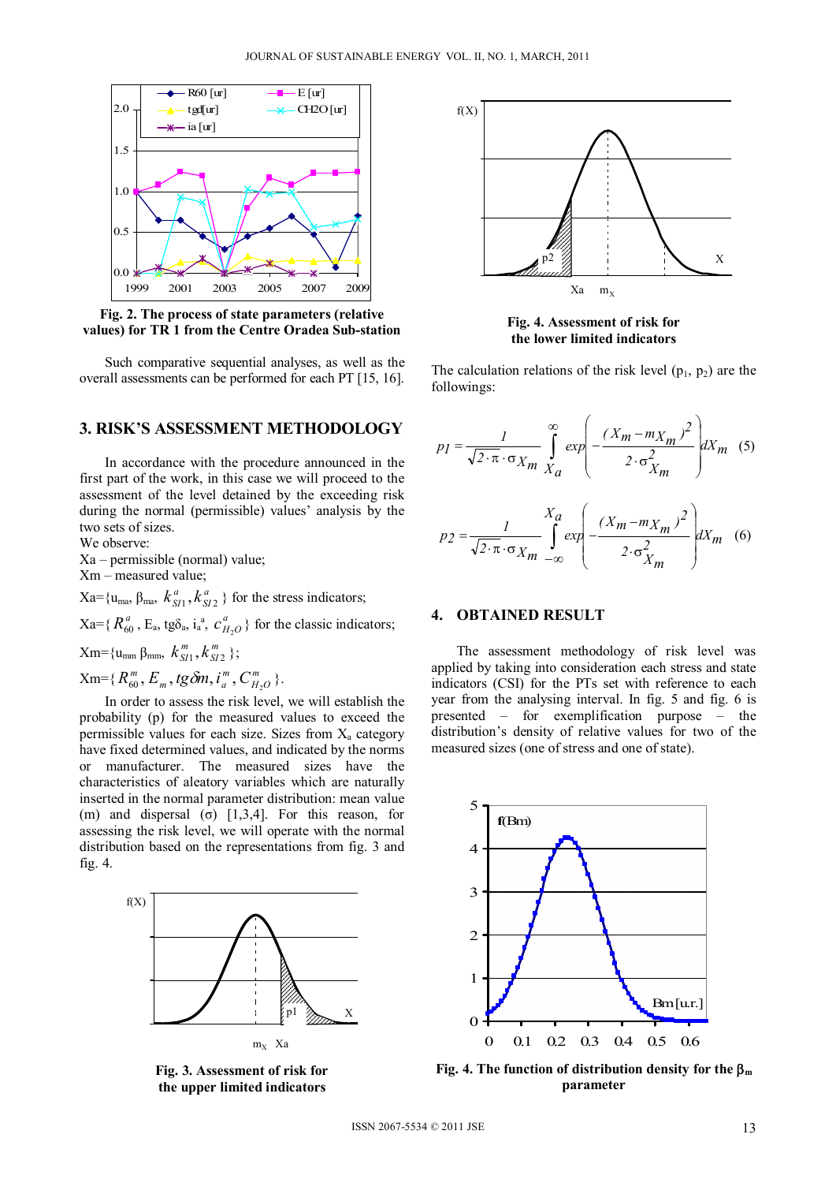

**Fig. 2. The process of state parameters (relative values) for TR 1 from the Centre Oradea Sub-station** 

Such comparative sequential analyses, as well as the overall assessments can be performed for each PT [15, 16].

# **3. RISK'S ASSESSMENT METHODOLOGY**

In accordance with the procedure announced in the first part of the work, in this case we will proceed to the assessment of the level detained by the exceeding risk during the normal (permissible) values' analysis by the two sets of sizes.

We observe:

Xa – permissible (normal) value;

Xm – measured value;

 $X$ a={u<sub>ma</sub>, β<sub>ma</sub>,  $k_{SI}^a$ ,  $k_{SI}^a$  $k_{SI}^a$ ,  $k_{SI}^a$ } for the stress indicators;

 $Xa = \{ R_{60}^a, E_a, t g \delta_a, i_a^a, c_{H_2O}^a \}$  for the classic indicators;

 $X$ m={u<sub>mm</sub> β<sub>mm</sub>,  $k^{m}_{SI}$ ,  $k^{m}_{SI}$  $k_{SI1}^m, k_{SI2}^m$  };

 $\mathrm{Xm}$ ={ $R_{60}^m$ ,  $E_m$ , tg $\delta m$ ,  $i_a^m$ ,  $C_{H_2O}^m$ *m*  $R_{60}^m, E_m, tg\delta m, i_a^m, C_{H_2O}^m$  }.

In order to assess the risk level, we will establish the probability (p) for the measured values to exceed the permissible values for each size. Sizes from  $X_a$  category have fixed determined values, and indicated by the norms or manufacturer. The measured sizes have the characteristics of aleatory variables which are naturally inserted in the normal parameter distribution: mean value (m) and dispersal (σ)  $[1,3,4]$ . For this reason, for assessing the risk level, we will operate with the normal distribution based on the representations from fig. 3 and fig. 4.







**Fig. 4. Assessment of risk for the lower limited indicators** 

The calculation relations of the risk level  $(p_1, p_2)$  are the followings:

$$
p_1 = \frac{1}{\sqrt{2 \cdot \pi} \cdot \sigma_{X_m}} \int_{X_a}^{\infty} exp\left(-\frac{(X_m - m_{X_m})^2}{2 \cdot \sigma_{X_m}^2}\right) dX_m \quad (5)
$$

$$
p_2 = \frac{1}{\sqrt{2 \cdot \pi} \cdot \sigma_{X_m}} \int_{-\infty}^{X_a} exp\left(-\frac{(X_m - m_{X_m})^2}{2 \cdot \sigma_{X_m}^2}\right) dX_m \quad (6)
$$

## **4. OBTAINED RESULT**

The assessment methodology of risk level was applied by taking into consideration each stress and state indicators (CSI) for the PTs set with reference to each year from the analysing interval. In fig. 5 and fig. 6 is presented – for exemplification purpose – the distribution's density of relative values for two of the measured sizes (one of stress and one of state).



**Fig. 4. The function of distribution density for the**  $\beta_m$ **parameter**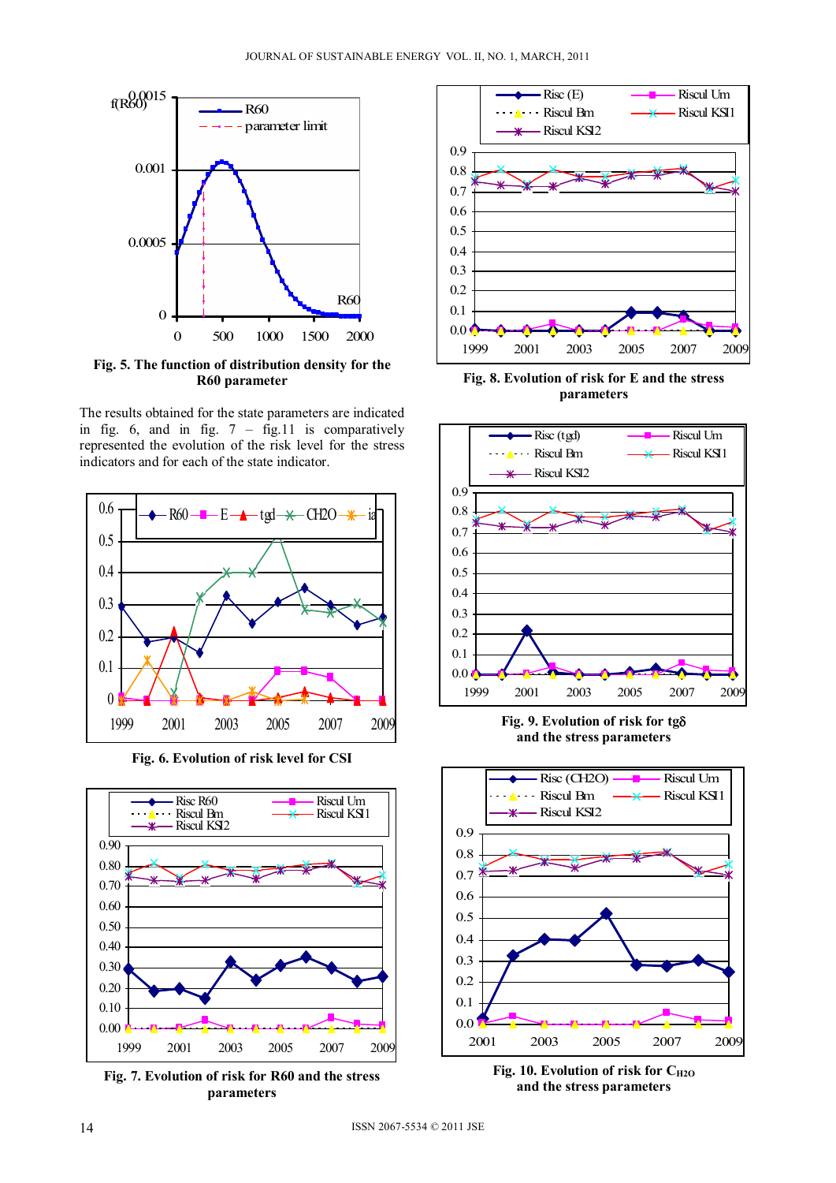

**Fig. 5. The function of distribution density for the R60 parameter** 

The results obtained for the state parameters are indicated in fig. 6, and in fig.  $7 - fig.11$  is comparatively represented the evolution of the risk level for the stress indicators and for each of the state indicator.



**Fig. 6. Evolution of risk level for CSI** 



**Fig. 7. Evolution of risk for R60 and the stress parameters** 



**Fig. 8. Evolution of risk for E and the stress parameters** 



**Fig. 9. Evolution of risk for tg and the stress parameters**